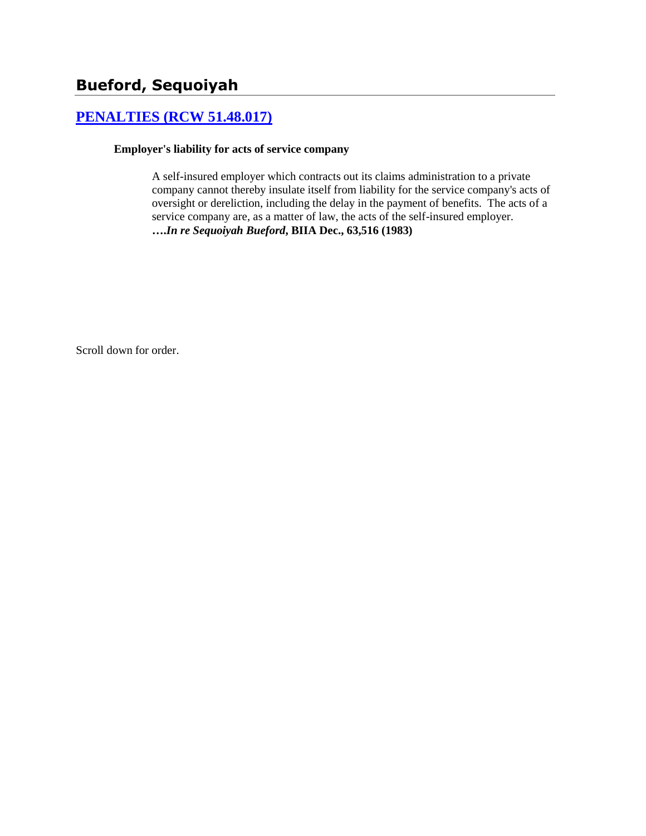# **[PENALTIES \(RCW 51.48.017\)](http://www.biia.wa.gov/SDSubjectIndex.html#PENALTIES)**

### **Employer's liability for acts of service company**

A self-insured employer which contracts out its claims administration to a private company cannot thereby insulate itself from liability for the service company's acts of oversight or dereliction, including the delay in the payment of benefits. The acts of a service company are, as a matter of law, the acts of the self-insured employer. **….***In re Sequoiyah Bueford***, BIIA Dec., 63,516 (1983)**

Scroll down for order.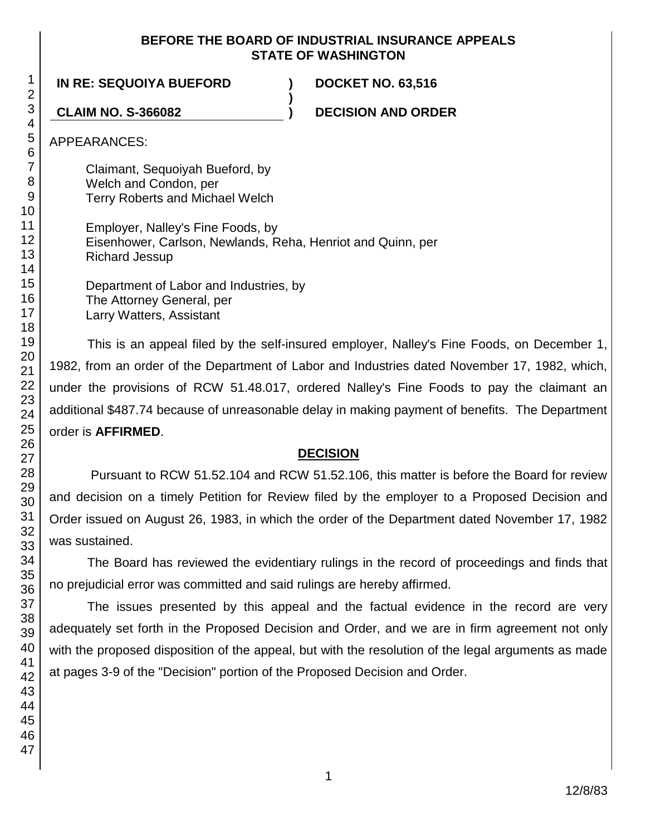## **BEFORE THE BOARD OF INDUSTRIAL INSURANCE APPEALS STATE OF WASHINGTON**

**)**

**IN RE: SEQUOIYA BUEFORD ) DOCKET NO. 63,516**

**CLAIM NO. S-366082 ) DECISION AND ORDER**

APPEARANCES:

Claimant, Sequoiyah Bueford, by Welch and Condon, per Terry Roberts and Michael Welch

Employer, Nalley's Fine Foods, by Eisenhower, Carlson, Newlands, Reha, Henriot and Quinn, per Richard Jessup

Department of Labor and Industries, by The Attorney General, per Larry Watters, Assistant

This is an appeal filed by the self-insured employer, Nalley's Fine Foods, on December 1, 1982, from an order of the Department of Labor and Industries dated November 17, 1982, which, under the provisions of RCW 51.48.017, ordered Nalley's Fine Foods to pay the claimant an additional \$487.74 because of unreasonable delay in making payment of benefits. The Department order is **AFFIRMED**.

## **DECISION**

Pursuant to RCW 51.52.104 and RCW 51.52.106, this matter is before the Board for review and decision on a timely Petition for Review filed by the employer to a Proposed Decision and Order issued on August 26, 1983, in which the order of the Department dated November 17, 1982 was sustained.

The Board has reviewed the evidentiary rulings in the record of proceedings and finds that no prejudicial error was committed and said rulings are hereby affirmed.

The issues presented by this appeal and the factual evidence in the record are very adequately set forth in the Proposed Decision and Order, and we are in firm agreement not only with the proposed disposition of the appeal, but with the resolution of the legal arguments as made at pages 3-9 of the "Decision" portion of the Proposed Decision and Order.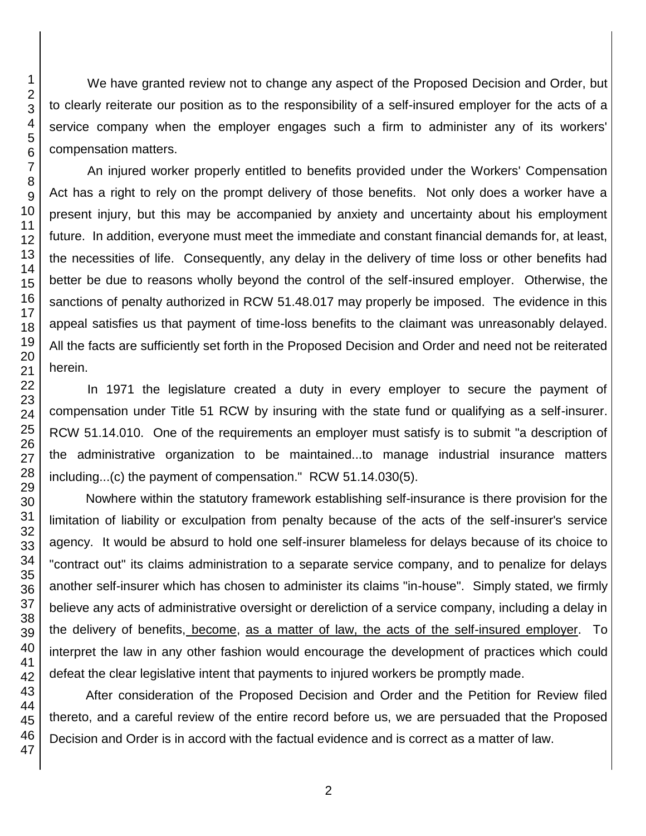We have granted review not to change any aspect of the Proposed Decision and Order, but to clearly reiterate our position as to the responsibility of a self-insured employer for the acts of a service company when the employer engages such a firm to administer any of its workers' compensation matters.

An injured worker properly entitled to benefits provided under the Workers' Compensation Act has a right to rely on the prompt delivery of those benefits. Not only does a worker have a present injury, but this may be accompanied by anxiety and uncertainty about his employment future. In addition, everyone must meet the immediate and constant financial demands for, at least, the necessities of life. Consequently, any delay in the delivery of time loss or other benefits had better be due to reasons wholly beyond the control of the self-insured employer. Otherwise, the sanctions of penalty authorized in RCW 51.48.017 may properly be imposed. The evidence in this appeal satisfies us that payment of time-loss benefits to the claimant was unreasonably delayed. All the facts are sufficiently set forth in the Proposed Decision and Order and need not be reiterated herein.

In 1971 the legislature created a duty in every employer to secure the payment of compensation under Title 51 RCW by insuring with the state fund or qualifying as a self-insurer. RCW 51.14.010. One of the requirements an employer must satisfy is to submit "a description of the administrative organization to be maintained...to manage industrial insurance matters including...(c) the payment of compensation." RCW 51.14.030(5).

Nowhere within the statutory framework establishing self-insurance is there provision for the limitation of liability or exculpation from penalty because of the acts of the self-insurer's service agency. It would be absurd to hold one self-insurer blameless for delays because of its choice to "contract out" its claims administration to a separate service company, and to penalize for delays another self-insurer which has chosen to administer its claims "in-house". Simply stated, we firmly believe any acts of administrative oversight or dereliction of a service company, including a delay in the delivery of benefits, become, as a matter of law, the acts of the self-insured employer. To interpret the law in any other fashion would encourage the development of practices which could defeat the clear legislative intent that payments to injured workers be promptly made.

After consideration of the Proposed Decision and Order and the Petition for Review filed thereto, and a careful review of the entire record before us, we are persuaded that the Proposed Decision and Order is in accord with the factual evidence and is correct as a matter of law.